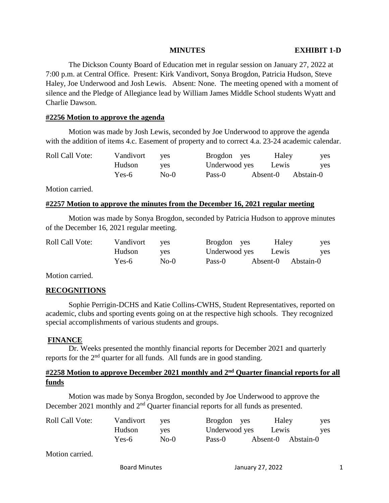The Dickson County Board of Education met in regular session on January 27, 2022 at 7:00 p.m. at Central Office. Present: Kirk Vandivort, Sonya Brogdon, Patricia Hudson, Steve Haley, Joe Underwood and Josh Lewis. Absent: None. The meeting opened with a moment of silence and the Pledge of Allegiance lead by William James Middle School students Wyatt and Charlie Dawson.

#### **#2256 Motion to approve the agenda**

Motion was made by Josh Lewis, seconded by Joe Underwood to approve the agenda with the addition of items 4.c. Easement of property and to correct 4.a. 23-24 academic calendar.

| <b>Roll Call Vote:</b> | Vandivort | ves    | Brogdon yes   | Haley    | yes        |
|------------------------|-----------|--------|---------------|----------|------------|
|                        | Hudson    | ves    | Underwood yes | Lewis    | <b>ves</b> |
|                        | Yes-6     | $No-0$ | Pass-0        | Absent-0 | Abstain-0  |

Motion carried.

#### **#2257 Motion to approve the minutes from the December 16, 2021 regular meeting**

Motion was made by Sonya Brogdon, seconded by Patricia Hudson to approve minutes of the December 16, 2021 regular meeting.

| <b>Roll Call Vote:</b> | Vandivort | <b>ves</b> | Brogdon yes   | Haley              | yes        |
|------------------------|-----------|------------|---------------|--------------------|------------|
|                        | Hudson    | ves        | Underwood yes | Lewis              | <b>ves</b> |
|                        | Yes-6     | $No-0$     | Pass-0        | Absent-0 Abstain-0 |            |

Motion carried.

# **RECOGNITIONS**

Sophie Perrigin-DCHS and Katie Collins-CWHS, Student Representatives, reported on academic, clubs and sporting events going on at the respective high schools. They recognized special accomplishments of various students and groups.

#### **FINANCE**

Dr. Weeks presented the monthly financial reports for December 2021 and quarterly reports for the  $2<sup>nd</sup>$  quarter for all funds. All funds are in good standing.

# **#2258 Motion to approve December 2021 monthly and 2nd Quarter financial reports for all funds**

Motion was made by Sonya Brogdon, seconded by Joe Underwood to approve the December 2021 monthly and  $2<sup>nd</sup>$  Quarter financial reports for all funds as presented.

| <b>Roll Call Vote:</b> | Vandivort | <b>ves</b> | Brogdon yes   | Haley              | yes |
|------------------------|-----------|------------|---------------|--------------------|-----|
|                        | Hudson    | yes        | Underwood yes | Lewis              | yes |
|                        | Yes-6     | $No-0$     | Pass-0        | Absent-0 Abstain-0 |     |

Motion carried.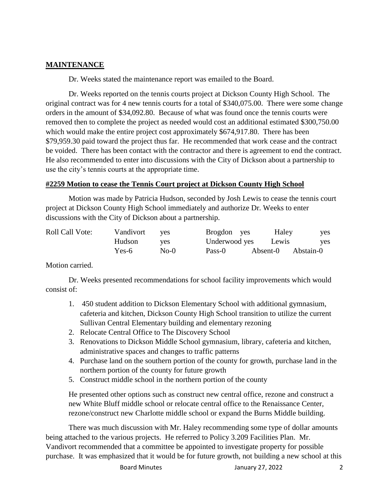# **MAINTENANCE**

Dr. Weeks stated the maintenance report was emailed to the Board.

Dr. Weeks reported on the tennis courts project at Dickson County High School. The original contract was for 4 new tennis courts for a total of \$340,075.00. There were some change orders in the amount of \$34,092.80. Because of what was found once the tennis courts were removed then to complete the project as needed would cost an additional estimated \$300,750.00 which would make the entire project cost approximately \$674,917.80. There has been \$79,959.30 paid toward the project thus far. He recommended that work cease and the contract be voided. There has been contact with the contractor and there is agreement to end the contract. He also recommended to enter into discussions with the City of Dickson about a partnership to use the city's tennis courts at the appropriate time.

# **#2259 Motion to cease the Tennis Court project at Dickson County High School**

Motion was made by Patricia Hudson, seconded by Josh Lewis to cease the tennis court project at Dickson County High School immediately and authorize Dr. Weeks to enter discussions with the City of Dickson about a partnership.

| <b>Roll Call Vote:</b> | Vandivort | <b>ves</b> | Brogdon yes   | Haley    | yes        |
|------------------------|-----------|------------|---------------|----------|------------|
|                        | Hudson    | <b>ves</b> | Underwood yes | Lewis    | <b>ves</b> |
|                        | Yes-6     | $No-0$     | Pass-0        | Absent-0 | Abstain-0  |

Motion carried.

Dr. Weeks presented recommendations for school facility improvements which would consist of:

- 1. 450 student addition to Dickson Elementary School with additional gymnasium, cafeteria and kitchen, Dickson County High School transition to utilize the current Sullivan Central Elementary building and elementary rezoning
- 2. Relocate Central Office to The Discovery School
- 3. Renovations to Dickson Middle School gymnasium, library, cafeteria and kitchen, administrative spaces and changes to traffic patterns
- 4. Purchase land on the southern portion of the county for growth, purchase land in the northern portion of the county for future growth
- 5. Construct middle school in the northern portion of the county

He presented other options such as construct new central office, rezone and construct a new White Bluff middle school or relocate central office to the Renaissance Center, rezone/construct new Charlotte middle school or expand the Burns Middle building.

There was much discussion with Mr. Haley recommending some type of dollar amounts being attached to the various projects. He referred to Policy 3.209 Facilities Plan. Mr. Vandivort recommended that a committee be appointed to investigate property for possible purchase. It was emphasized that it would be for future growth, not building a new school at this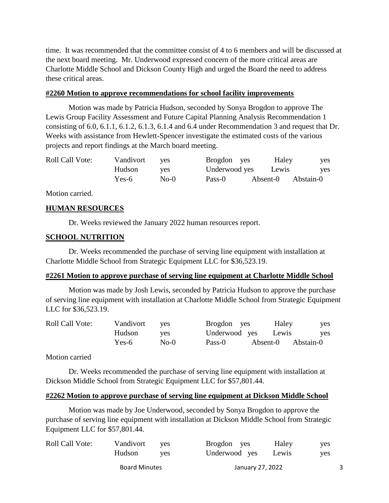time. It was recommended that the committee consist of 4 to 6 members and will be discussed at the next board meeting. Mr. Underwood expressed concern of the more critical areas are Charlotte Middle School and Dickson County High and urged the Board the need to address these critical areas.

#### **#2260 Motion to approve recommendations for school facility improvements**

Motion was made by Patricia Hudson, seconded by Sonya Brogdon to approve The Lewis Group Facility Assessment and Future Capital Planning Analysis Recommendation 1 consisting of 6.0, 6.1.1, 6.1.2, 6.1.3, 6.1.4 and 6.4 under Recommendation 3 and request that Dr. Weeks with assistance from Hewlett-Spencer investigate the estimated costs of the various projects and report findings at the March board meeting.

| <b>Roll Call Vote:</b> | Vandivort | ves        | Brogdon yes   | Haley    | <b>ves</b> |
|------------------------|-----------|------------|---------------|----------|------------|
|                        | Hudson    | <b>ves</b> | Underwood yes | Lewis    | <b>ves</b> |
|                        | Yes-6     | $No-0$     | Pass-0        | Absent-0 | Abstain-0  |

Motion carried.

### **HUMAN RESOURCES**

Dr. Weeks reviewed the January 2022 human resources report.

### **SCHOOL NUTRITION**

Dr. Weeks recommended the purchase of serving line equipment with installation at Charlotte Middle School from Strategic Equipment LLC for \$36,523.19.

#### **#2261 Motion to approve purchase of serving line equipment at Charlotte Middle School**

Motion was made by Josh Lewis, seconded by Patricia Hudson to approve the purchase of serving line equipment with installation at Charlotte Middle School from Strategic Equipment LLC for \$36,523.19.

| <b>Roll Call Vote:</b> | Vandivort | ves        | Brogdon yes         | Haley              | <b>ves</b> |
|------------------------|-----------|------------|---------------------|--------------------|------------|
|                        | Hudson    | <b>ves</b> | Underwood yes Lewis |                    | <b>ves</b> |
|                        | Yes-6     | $No-0$     | Pass-0              | Absent-0 Abstain-0 |            |

Motion carried

Dr. Weeks recommended the purchase of serving line equipment with installation at Dickson Middle School from Strategic Equipment LLC for \$57,801.44.

#### **#2262 Motion to approve purchase of serving line equipment at Dickson Middle School**

Motion was made by Joe Underwood, seconded by Sonya Brogdon to approve the purchase of serving line equipment with installation at Dickson Middle School from Strategic Equipment LLC for \$57,801.44.

|                        | Hudson<br><b>Board Minutes</b> | ves        | Underwood yes<br>January 27, 2022 | Lewis | <b>ves</b> |
|------------------------|--------------------------------|------------|-----------------------------------|-------|------------|
| <b>Roll Call Vote:</b> | Vandivort                      | <b>ves</b> | Brogdon yes                       | Haley | <b>ves</b> |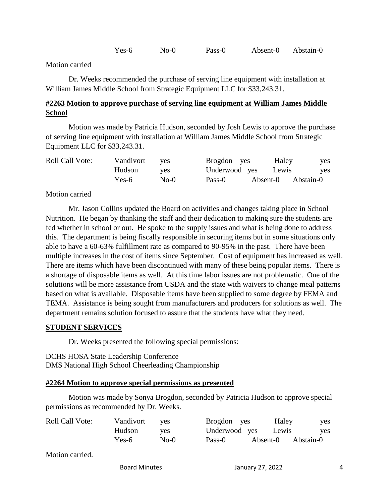Yes-6 No-0 Pass-0 Absent-0 Abstain-0

Motion carried

Dr. Weeks recommended the purchase of serving line equipment with installation at William James Middle School from Strategic Equipment LLC for \$33,243.31.

# **#2263 Motion to approve purchase of serving line equipment at William James Middle School**

Motion was made by Patricia Hudson, seconded by Josh Lewis to approve the purchase of serving line equipment with installation at William James Middle School from Strategic Equipment LLC for \$33,243.31.

| <b>Roll Call Vote:</b> | Vandivort | ves        | Brogdon yes   | Haley    | yes        |
|------------------------|-----------|------------|---------------|----------|------------|
|                        | Hudson    | <b>ves</b> | Underwood yes | Lewis    | <b>ves</b> |
|                        | Yes-6     | $No-0$     | Pass-0        | Absent-0 | Abstain-0  |

### Motion carried

Mr. Jason Collins updated the Board on activities and changes taking place in School Nutrition. He began by thanking the staff and their dedication to making sure the students are fed whether in school or out. He spoke to the supply issues and what is being done to address this. The department is being fiscally responsible in securing items but in some situations only able to have a 60-63% fulfillment rate as compared to 90-95% in the past. There have been multiple increases in the cost of items since September. Cost of equipment has increased as well. There are items which have been discontinued with many of these being popular items. There is a shortage of disposable items as well. At this time labor issues are not problematic. One of the solutions will be more assistance from USDA and the state with waivers to change meal patterns based on what is available. Disposable items have been supplied to some degree by FEMA and TEMA. Assistance is being sought from manufacturers and producers for solutions as well. The department remains solution focused to assure that the students have what they need.

#### **STUDENT SERVICES**

Dr. Weeks presented the following special permissions:

DCHS HOSA State Leadership Conference DMS National High School Cheerleading Championship

#### **#2264 Motion to approve special permissions as presented**

Motion was made by Sonya Brogdon, seconded by Patricia Hudson to approve special permissions as recommended by Dr. Weeks.

| Roll Call Vote: | Vandivort yes |        | Brogdon yes         | Haley              | yes |
|-----------------|---------------|--------|---------------------|--------------------|-----|
|                 | Hudson        | ves    | Underwood yes Lewis |                    | yes |
|                 | Yes-6         | $No-0$ | Pass-0              | Absent-0 Abstain-0 |     |

Motion carried.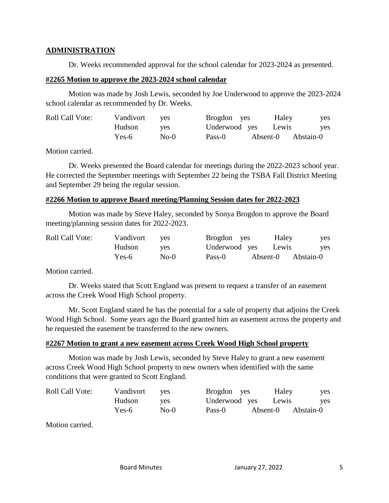### **ADMINISTRATION**

Dr. Weeks recommended approval for the school calendar for 2023-2024 as presented.

#### **#2265 Motion to approve the 2023-2024 school calendar**

Motion was made by Josh Lewis, seconded by Joe Underwood to approve the 2023-2024 school calendar as recommended by Dr. Weeks.

| Roll Call Vote: | Vandivort | ves    | Brogdon yes         |          | Haley | <b>ves</b> |
|-----------------|-----------|--------|---------------------|----------|-------|------------|
|                 | Hudson    | ves.   | Underwood yes Lewis |          |       | ves        |
|                 | Yes-6     | $No-0$ | Pass-0              | Absent-0 |       | Abstain-0  |

Motion carried.

Dr. Weeks presented the Board calendar for meetings during the 2022-2023 school year. He corrected the September meetings with September 22 being the TSBA Fall District Meeting and September 29 being the regular session.

#### **#2266 Motion to approve Board meeting/Planning Session dates for 2022-2023**

Motion was made by Steve Haley, seconded by Sonya Brogdon to approve the Board meeting/planning session dates for 2022-2023.

| <b>Roll Call Vote:</b> | Vandivort | ves    | Brogdon yes   | Haley    | yes       |
|------------------------|-----------|--------|---------------|----------|-----------|
|                        | Hudson    | ves    | Underwood yes | Lewis    | yes       |
|                        | Yes-6     | $No-0$ | Pass-0        | Absent-0 | Abstain-0 |

Motion carried.

Dr. Weeks stated that Scott England was present to request a transfer of an easement across the Creek Wood High School property.

Mr. Scott England stated he has the potential for a sale of property that adjoins the Creek Wood High School. Some years ago the Board granted him an easement across the property and he requested the easement be transferred to the new owners.

# **#2267 Motion to grant a new easement across Creek Wood High School property**

Motion was made by Josh Lewis, seconded by Steve Haley to grant a new easement across Creek Wood High School property to new owners when identified with the same conditions that were granted to Scott England.

| <b>Roll Call Vote:</b> | Vandivort | <b>ves</b> | Brogdon yes   |          | Haley | yes       |
|------------------------|-----------|------------|---------------|----------|-------|-----------|
|                        | Hudson    | <b>ves</b> | Underwood yes |          | Lewis | yes       |
|                        | Yes-6     | $No-0$     | Pass-0        | Absent-0 |       | Abstain-0 |

Motion carried.